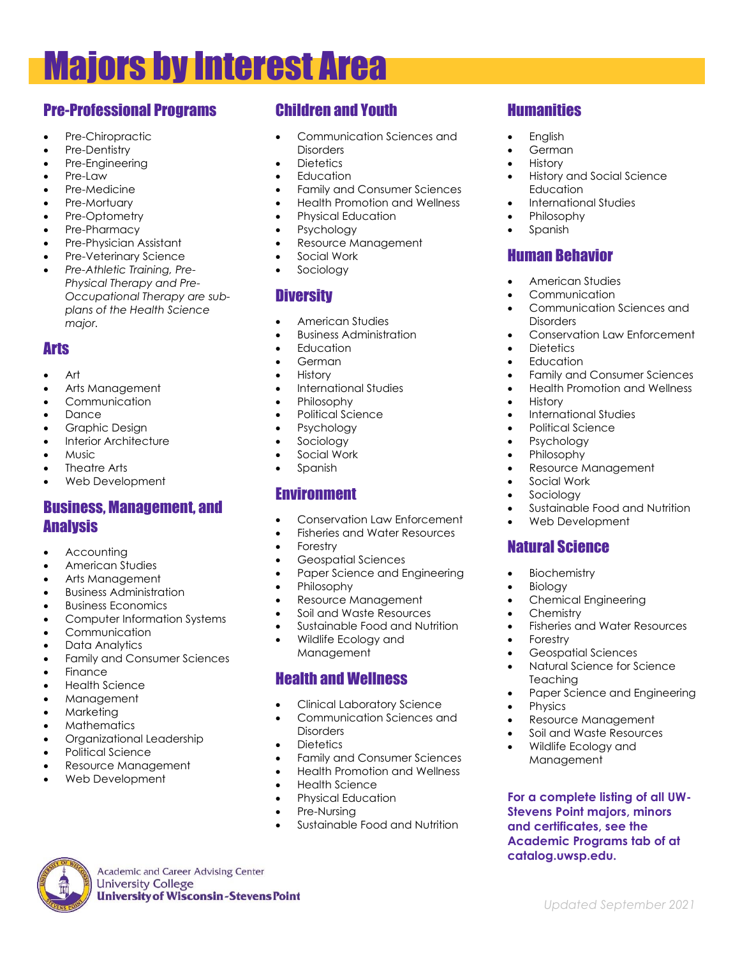# Majors by Interest Area

## Pre-Professional Programs

- Pre-Chiropractic
- Pre-Dentistry
- Pre-Engineering
- Pre-Law
- Pre-Medicine
- Pre-Mortuary
- Pre-Optometry
- Pre-Pharmacy
- Pre-Physician Assistant
- Pre-Veterinary Science
- *Pre-Athletic Training, Pre-Physical Therapy and Pre-Occupational Therapy are subplans of the Health Science major.*

## Arts

- Art
- Arts Management
- **Communication**
- Dance
- Graphic Design
- Interior Architecture
- Music
- Theatre Arts
- Web Development

#### Business, Management, and **Analysis**

- **Accounting**
- American Studies
- Arts Management
- Business Administration
- Business Economics
- Computer Information Systems
- Communication
- Data Analytics
- Family and Consumer Sciences
- **Finance**
- Health Science
- Management
- Marketing
- Mathematics
- Organizational Leadership
- Political Science
- Resource Management

**Academic and Career Advising Center** 

**University of Wisconsin-Stevens Point** 

**University College** 

Web Development

## Children and Youth

- Communication Sciences and **Disorders**
- Dietetics
- Education
- Family and Consumer Sciences
- Health Promotion and Wellness
- Physical Education
- Psychology
- Resource Management
- Social Work
- Sociology

## **Diversity**

- American Studies
- Business Administration
- Education
- German
- History
- International Studies
- Philosophy
- Political Science
- Psychology
- Sociology
- Social Work
- Spanish

#### Environment

- Conservation Law Enforcement
- Fisheries and Water Resources
- Forestry
- Geospatial Sciences
- Paper Science and Engineering
- Philosophy
- Resource Management
- Soil and Waste Resources
- Sustainable Food and Nutrition
- Wildlife Ecology and Management

#### Health and Wellness

- Clinical Laboratory Science
- Communication Sciences and **Disorders**
- Dietetics
- Family and Consumer Sciences
- Health Promotion and Wellness
- Health Science
- Physical Education
- Pre-Nursing
- Sustainable Food and Nutrition

## **Humanities**

- English
- **German**
- History
- History and Social Science **Education**
- International Studies
- Philosophy
- Spanish

## Human Behavior

- American Studies
- **Communication**

• International Studies • Political Science • Psychology • Philosophy

• Resource Management

• Web Development

• Chemical Engineering

• Geospatial Sciences • Natural Science for Science

• Resource Management • Soil and Waste Resources • Wildlife Ecology and Management

• Fisheries and Water Resources

• Paper Science and Engineering

**For a complete listing of all UW-Stevens Point majors, minors and certificates, see the Academic Programs tab of at** 

 *Updated September 2021*

Sustainable Food and Nutrition

• Education

• Social Work • Sociology

Natural Science

• Biochemistry • Biology

• Chemistry

**Teaching** 

• Physics

**catalog.uwsp.edu.**

• Forestry

• History

- Communication Sciences and **Disorders**
- Conservation Law Enforcement • Dietetics

• Family and Consumer Sciences • Health Promotion and Wellness